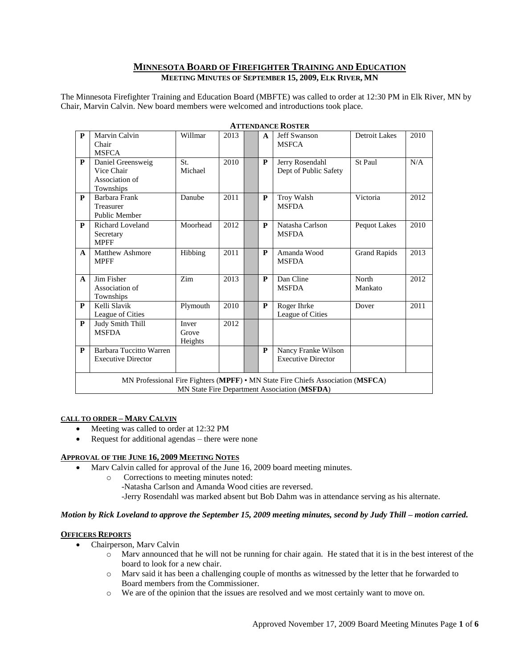## **MINNESOTA BOARD OF FIREFIGHTER TRAINING AND EDUCATION MEETING MINUTES OF SEPTEMBER 15, 2009, ELK RIVER, MN**

The Minnesota Firefighter Training and Education Board (MBFTE) was called to order at 12:30 PM in Elk River, MN by Chair, Marvin Calvin. New board members were welcomed and introductions took place.

| $\mathbf{P}$                                                                                                                    | Marvin Calvin<br>Chair<br><b>MSFCA</b>                         | Willmar                   | 2013 |  | A            | Jeff Swanson<br><b>MSFCA</b>                     | <b>Detroit Lakes</b> | 2010 |
|---------------------------------------------------------------------------------------------------------------------------------|----------------------------------------------------------------|---------------------------|------|--|--------------|--------------------------------------------------|----------------------|------|
| P                                                                                                                               | Daniel Greensweig<br>Vice Chair<br>Association of<br>Townships | St.<br>Michael            | 2010 |  | P            | Jerry Rosendahl<br>Dept of Public Safety         | St Paul              | N/A  |
| $\mathbf{P}$                                                                                                                    | Barbara Frank<br>Treasurer<br>Public Member                    | Danube                    | 2011 |  | P            | Troy Walsh<br><b>MSFDA</b>                       | Victoria             | 2012 |
| P                                                                                                                               | <b>Richard Loveland</b><br>Secretary<br><b>MPFF</b>            | Moorhead                  | 2012 |  | P            | Natasha Carlson<br><b>MSFDA</b>                  | Pequot Lakes         | 2010 |
| $\mathbf{A}$                                                                                                                    | <b>Matthew Ashmore</b><br><b>MPFF</b>                          | Hibbing                   | 2011 |  | P            | Amanda Wood<br><b>MSFDA</b>                      | <b>Grand Rapids</b>  | 2013 |
| $\mathbf{A}$                                                                                                                    | Jim Fisher<br>Association of<br>Townships                      | Zim                       | 2013 |  | P            | Dan Cline<br><b>MSFDA</b>                        | North<br>Mankato     | 2012 |
| P                                                                                                                               | Kelli Slavik<br>League of Cities                               | Plymouth                  | 2010 |  | P            | Roger Ihrke<br>League of Cities                  | Dover                | 2011 |
| $\mathbf{P}$                                                                                                                    | Judy Smith Thill<br><b>MSFDA</b>                               | Inver<br>Grove<br>Heights | 2012 |  |              |                                                  |                      |      |
| P                                                                                                                               | Barbara Tuccitto Warren<br><b>Executive Director</b>           |                           |      |  | $\mathbf{P}$ | Nancy Franke Wilson<br><b>Executive Director</b> |                      |      |
| MN Professional Fire Fighters (MPFF) • MN State Fire Chiefs Association (MSFCA)<br>MN State Fire Department Association (MSFDA) |                                                                |                           |      |  |              |                                                  |                      |      |

#### **ATTENDANCE ROSTER**

#### **CALL TO ORDER – MARV CALVIN**

- Meeting was called to order at 12:32 PM
- Request for additional agendas there were none

### **APPROVAL OF THE JUNE 16, 2009 MEETING NOTES**

- Marv Calvin called for approval of the June 16, 2009 board meeting minutes.
	- o Corrections to meeting minutes noted:
		- -Natasha Carlson and Amanda Wood cities are reversed.
		- -Jerry Rosendahl was marked absent but Bob Dahm was in attendance serving as his alternate.

#### *Motion by Rick Loveland to approve the September 15, 2009 meeting minutes, second by Judy Thill – motion carried.*

### **OFFICERS REPORTS**

- Chairperson, Marv Calvin
	- o Marv announced that he will not be running for chair again. He stated that it is in the best interest of the board to look for a new chair.
	- o Marv said it has been a challenging couple of months as witnessed by the letter that he forwarded to Board members from the Commissioner.
	- o We are of the opinion that the issues are resolved and we most certainly want to move on.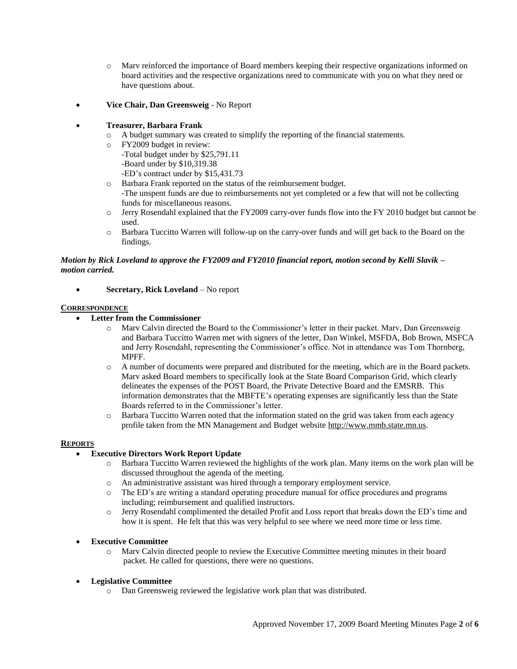- o Marv reinforced the importance of Board members keeping their respective organizations informed on board activities and the respective organizations need to communicate with you on what they need or have questions about.
- **Vice Chair, Dan Greensweig** No Report

# **Treasurer, Barbara Frank**

- o A budget summary was created to simplify the reporting of the financial statements.
	- o FY2009 budget in review:
		- -Total budget under by \$25,791.11
		- -Board under by \$10,319.38
		- -ED's contract under by \$15,431.73
	- o Barbara Frank reported on the status of the reimbursement budget.
		- -The unspent funds are due to reimbursements not yet completed or a few that will not be collecting funds for miscellaneous reasons.
	- o Jerry Rosendahl explained that the FY2009 carry-over funds flow into the FY 2010 budget but cannot be used.
	- o Barbara Tuccitto Warren will follow-up on the carry-over funds and will get back to the Board on the findings.

# *Motion by Rick Loveland to approve the FY2009 and FY2010 financial report, motion second by Kelli Slavik – motion carried.*

**Secretary, Rick Loveland** – No report

# **CORRESPONDENCE**

- **Letter from the Commissioner**
	- o Marv Calvin directed the Board to the Commissioner's letter in their packet. Marv, Dan Greensweig and Barbara Tuccitto Warren met with signers of the letter, Dan Winkel, MSFDA, Bob Brown, MSFCA and Jerry Rosendahl, representing the Commissioner's office. Not in attendance was Tom Thornberg, MPFF.
	- o A number of documents were prepared and distributed for the meeting, which are in the Board packets. Marv asked Board members to specifically look at the State Board Comparison Grid, which clearly delineates the expenses of the POST Board, the Private Detective Board and the EMSRB. This information demonstrates that the MBFTE's operating expenses are significantly less than the State Boards referred to in the Commissioner's letter.
	- o Barbara Tuccitto Warren noted that the information stated on the grid was taken from each agency profile taken from the MN Management and Budget websit[e http://www.mmb.state.mn.us.](http://www.mmb.state.mn.us/)

# **REPORTS**

# **Executive Directors Work Report Update**

- o Barbara Tuccitto Warren reviewed the highlights of the work plan. Many items on the work plan will be discussed throughout the agenda of the meeting.
- o An administrative assistant was hired through a temporary employment service.
- o The ED's are writing a standard operating procedure manual for office procedures and programs including; reimbursement and qualified instructors.
- o Jerry Rosendahl complimented the detailed Profit and Loss report that breaks down the ED's time and how it is spent. He felt that this was very helpful to see where we need more time or less time.
- **Executive Committee**
	- o Marv Calvin directed people to review the Executive Committee meeting minutes in their board packet. He called for questions, there were no questions.
- **Legislative Committee**
	- o Dan Greensweig reviewed the legislative work plan that was distributed.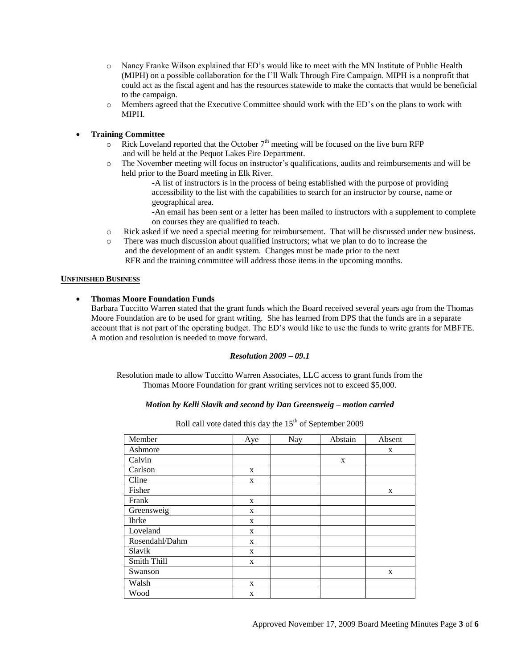- o Nancy Franke Wilson explained that ED's would like to meet with the MN Institute of Public Health (MIPH) on a possible collaboration for the I'll Walk Through Fire Campaign. MIPH is a nonprofit that could act as the fiscal agent and has the resources statewide to make the contacts that would be beneficial to the campaign.
- o Members agreed that the Executive Committee should work with the ED's on the plans to work with MIPH.
- **Training Committee**
	- $\circ$  Rick Loveland reported that the October  $7<sup>th</sup>$  meeting will be focused on the live burn RFP and will be held at the Pequot Lakes Fire Department.
	- o The November meeting will focus on instructor's qualifications, audits and reimbursements and will be held prior to the Board meeting in Elk River.
		- -A list of instructors is in the process of being established with the purpose of providing accessibility to the list with the capabilities to search for an instructor by course, name or geographical area.
		- -An email has been sent or a letter has been mailed to instructors with a supplement to complete on courses they are qualified to teach.
	- o Rick asked if we need a special meeting for reimbursement. That will be discussed under new business.
	- o There was much discussion about qualified instructors; what we plan to do to increase the and the development of an audit system. Changes must be made prior to the next RFR and the training committee will address those items in the upcoming months.

### **UNFINISHED BUSINESS**

# **Thomas Moore Foundation Funds**

Barbara Tuccitto Warren stated that the grant funds which the Board received several years ago from the Thomas Moore Foundation are to be used for grant writing. She has learned from DPS that the funds are in a separate account that is not part of the operating budget. The ED's would like to use the funds to write grants for MBFTE. A motion and resolution is needed to move forward.

### *Resolution 2009 – 09.1*

Resolution made to allow Tuccitto Warren Associates, LLC access to grant funds from the Thomas Moore Foundation for grant writing services not to exceed \$5,000.

## *Motion by Kelli Slavik and second by Dan Greensweig – motion carried*

| Member         | Aye | Nay | Abstain | Absent |
|----------------|-----|-----|---------|--------|
| Ashmore        |     |     |         | X      |
| Calvin         |     |     | X       |        |
| Carlson        | X   |     |         |        |
| Cline          | X   |     |         |        |
| Fisher         |     |     |         | X      |
| Frank          | X   |     |         |        |
| Greensweig     | X   |     |         |        |
| <b>Ihrke</b>   | X   |     |         |        |
| Loveland       | X   |     |         |        |
| Rosendahl/Dahm | X   |     |         |        |
| Slavik         | X   |     |         |        |
| Smith Thill    | X   |     |         |        |
| Swanson        |     |     |         | X      |
| Walsh          | X   |     |         |        |
| Wood           | X   |     |         |        |

Roll call vote dated this day the  $15<sup>th</sup>$  of September 2009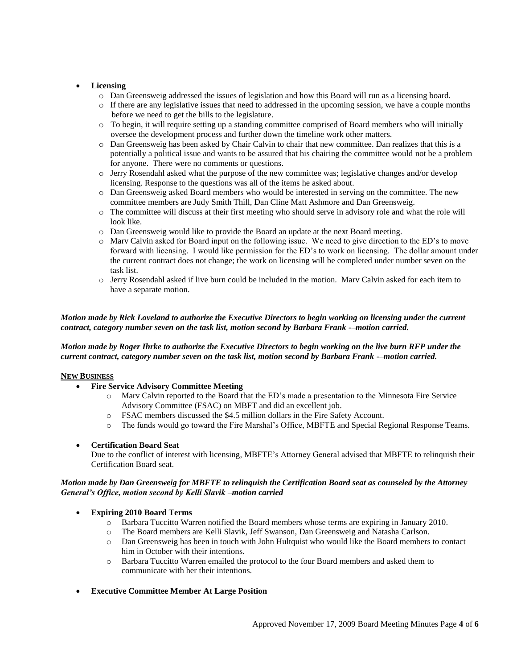## **Licensing**

- o Dan Greensweig addressed the issues of legislation and how this Board will run as a licensing board.
- o If there are any legislative issues that need to addressed in the upcoming session, we have a couple months before we need to get the bills to the legislature.
- o To begin, it will require setting up a standing committee comprised of Board members who will initially oversee the development process and further down the timeline work other matters.
- o Dan Greensweig has been asked by Chair Calvin to chair that new committee. Dan realizes that this is a potentially a political issue and wants to be assured that his chairing the committee would not be a problem for anyone. There were no comments or questions.
- o Jerry Rosendahl asked what the purpose of the new committee was; legislative changes and/or develop licensing. Response to the questions was all of the items he asked about.
- o Dan Greensweig asked Board members who would be interested in serving on the committee. The new committee members are Judy Smith Thill, Dan Cline Matt Ashmore and Dan Greensweig.
- o The committee will discuss at their first meeting who should serve in advisory role and what the role will look like.
- o Dan Greensweig would like to provide the Board an update at the next Board meeting.
- o Marv Calvin asked for Board input on the following issue. We need to give direction to the ED's to move forward with licensing. I would like permission for the ED's to work on licensing. The dollar amount under the current contract does not change; the work on licensing will be completed under number seven on the task list.
- o Jerry Rosendahl asked if live burn could be included in the motion. Marv Calvin asked for each item to have a separate motion.

# *Motion made by Rick Loveland to authorize the Executive Directors to begin working on licensing under the current contract, category number seven on the task list, motion second by Barbara Frank -–motion carried.*

# *Motion made by Roger Ihrke to authorize the Executive Directors to begin working on the live burn RFP under the current contract, category number seven on the task list, motion second by Barbara Frank -–motion carried.*

### **NEW BUSINESS**

- **Fire Service Advisory Committee Meeting**
	- o Marv Calvin reported to the Board that the ED's made a presentation to the Minnesota Fire Service Advisory Committee (FSAC) on MBFT and did an excellent job.
	- o FSAC members discussed the \$4.5 million dollars in the Fire Safety Account.
	- o The funds would go toward the Fire Marshal's Office, MBFTE and Special Regional Response Teams.

### **Certification Board Seat**

Due to the conflict of interest with licensing, MBFTE's Attorney General advised that MBFTE to relinquish their Certification Board seat.

### *Motion made by Dan Greensweig for MBFTE to relinquish the Certification Board seat as counseled by the Attorney General's Office, motion second by Kelli Slavik –motion carried*

### **Expiring 2010 Board Terms**

- o Barbara Tuccitto Warren notified the Board members whose terms are expiring in January 2010.
- o The Board members are Kelli Slavik, Jeff Swanson, Dan Greensweig and Natasha Carlson.
- o Dan Greensweig has been in touch with John Hultquist who would like the Board members to contact him in October with their intentions.
- o Barbara Tuccitto Warren emailed the protocol to the four Board members and asked them to communicate with her their intentions.
- **Executive Committee Member At Large Position**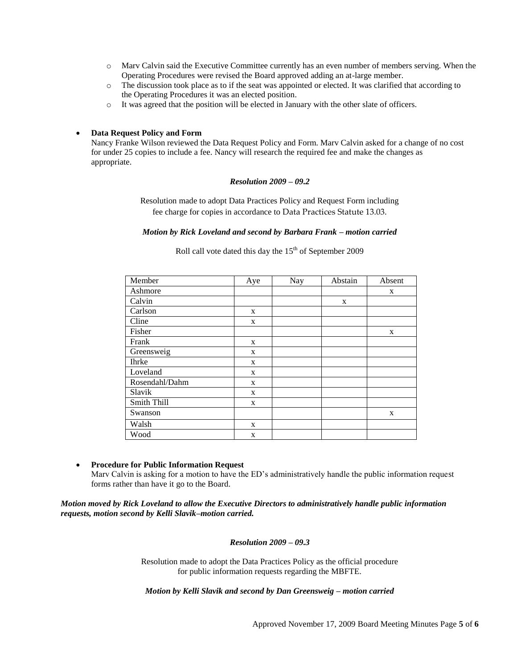- o Marv Calvin said the Executive Committee currently has an even number of members serving. When the Operating Procedures were revised the Board approved adding an at-large member.
- o The discussion took place as to if the seat was appointed or elected. It was clarified that according to the Operating Procedures it was an elected position.
- o It was agreed that the position will be elected in January with the other slate of officers.

#### **Data Request Policy and Form**

Nancy Franke Wilson reviewed the Data Request Policy and Form. Marv Calvin asked for a change of no cost for under 25 copies to include a fee. Nancy will research the required fee and make the changes as appropriate.

### *Resolution 2009 – 09.2*

Resolution made to adopt Data Practices Policy and Request Form including fee charge for copies in accordance to Data Practices Statute 13.03.

## *Motion by Rick Loveland and second by Barbara Frank – motion carried*

# Roll call vote dated this day the  $15<sup>th</sup>$  of September 2009

| Member         | Aye | Nay | Abstain | Absent |
|----------------|-----|-----|---------|--------|
| Ashmore        |     |     |         | X      |
| Calvin         |     |     | X       |        |
| Carlson        | X   |     |         |        |
| Cline          | X   |     |         |        |
| Fisher         |     |     |         | X      |
| Frank          | X   |     |         |        |
| Greensweig     | X   |     |         |        |
| <b>Ihrke</b>   | X   |     |         |        |
| Loveland       | X   |     |         |        |
| Rosendahl/Dahm | X   |     |         |        |
| Slavik         | X   |     |         |        |
| Smith Thill    | X   |     |         |        |
| Swanson        |     |     |         | X      |
| Walsh          | X   |     |         |        |
| Wood           | X   |     |         |        |

### **Procedure for Public Information Request**

Marv Calvin is asking for a motion to have the ED's administratively handle the public information request forms rather than have it go to the Board.

*Motion moved by Rick Loveland to allow the Executive Directors to administratively handle public information requests, motion second by Kelli Slavik–motion carried.*

#### *Resolution 2009 – 09.3*

Resolution made to adopt the Data Practices Policy as the official procedure for public information requests regarding the MBFTE.

*Motion by Kelli Slavik and second by Dan Greensweig – motion carried*